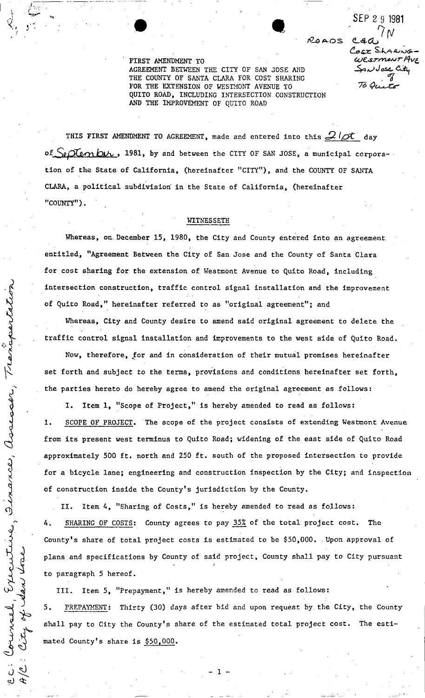**FIRST AMENDMENT TO AGREEMENT BETWEEN THE CITY OF SAN JOSE AND THE COUNTY OF SANTA CLARA FOR COST SHARING FOR THE EXTENSION OF WESTMONT AVENUE TO QUITO ROAD, INCLUDING INTERSECTION CONSTRUCTION AND THE IMPROVEMENT OF QUITO ROAD** 

**S EP** *2* **9 1981** 

Cosz Sharno WESTMONT AVE Sau Jose City

To Quito

 $0.47$ 

ROADS.

THIS FIRST AMENDMENT TO AGREEMENT, made and entered into this  $\mathcal{Q}/\mathcal{A}$  day of Sectember, 1981, by and between the CITY OF SAN JOSE, a municipal corpora**tion of the State of California, (hereinafter "CITY"), and the COUNTY OF SANTA CLARA, a political subdivision in the State of California, (hereinafter "COUNTY").** 

### **WITNESSETH**

Whereas, on December 15, 1980, the City and County entered into an agreement **entitled, "Agreement Between the City of San Jose and the County of Santa Clara for cost sharing for the extension of Westmont Avenue to Quito Road, including intersection construction, traffic control signal installation and the improvement of Quito Road," hereinafter referred to as "original agreement"; and** 

**Whereas, City and County desire to amend said original agreement to delete the traffic control signal installation and improvements to the west side of Quito Road.** 

Transpart

assessor,

inance,

<u>႟</u>

Executive

**Now, therefore, for and in consideration of their mutual promises hereinafter set forth and subject to the terms, provisions and conditions hereinafter set forth, the parties hereto do hereby agree to amend the original agreement as follows:** 

**I . Item 1, "Scope of Project," is hereby amended to read as follows: 1. SCOPE OF PROJECT. The scope of the project consists of extending Westmont Avenue from its present west terminus to Quito Road; widening of the east side of Quito Road approximately 500 ft. north and 250 ft. south of the proposed intersection to provide for a bicycle lane; engineering and construction inspection by the City; and inspection of construction inside the County's jurisdiction by the County.** 

**II. Item 4, "Sharing of Costs," is hereby amended to read as follows: 4. SHARING OF COSTS: County agrees to pay 35% of the total project cost. The County's share of total project costs is estimated to be \$50,000. Upon approval of plans and specifications by County of said project, County shall pay to City pursuant to paragraph 5 hereof.** 

**III. Item 5, "Prepayment," is hereby amended to read as follows: PREPAYMENT: Thirty (30) days after bid and upon request by. the City, the County**  5. **shall pay to City the County's share of the estimated total project cost. The estimated County's share is \$50,000.**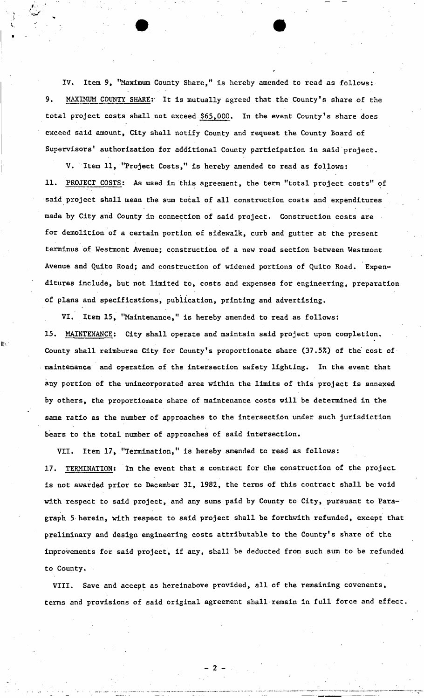IV. Item 9, "Maximum County Share," is hereby amended to read as follows: **9. MAXIMUM COUNTY SHARE: It is mutually agreed that the County's share of the total project costs shall not exceed \$65,000. In the event County's share does exceed said amount, City shall notify County and request the County Board of Supervisors' authorization for additional County participation in said project.** 

**V . Item 11, "Project Costs," is hereby amended to read as follows: 1 1. PROJECT COSTS: As used in this agreement, the term "total project costs" of said project shall mean the sum total of all construction costs and expenditures made by City and County in connection of said project. Construction costs are for demolition of a certain portion of sidewalk, curb and gutter at the present terminus of Westmont Avenue; construction of a new road section between Westmont Avenue and Quito Road; and construction of widened portions of Quito Road. Expenditures include, but not limited to, costs and expenses for engineering, preparation of plans and specifications, publication, printing and advertising.** 

VI. Item 15, "Maintenance," is hereby amended to read as follows: **15. MAINTENANCE: City shall operate and maintain said project upon completion. County shall reimburse City for County's proportionate share (37.5%) of the cost of maintenance and operation of the intersection safety lighting. In the event that any portion of the unincorporated area within the limits of this project is annexed by others, the proportionate share of maintenance costs will be determined in the same ratio as the number of approaches to the intersection under such jurisdiction bears to the total number of approaches of said intersection.** 

**VII. Item 17, "Termination," is hereby amended to read as follows:**  17. TERMINATION: In the event that a contract for the construction of the project. **is not awarded prior to December 31, 1982, the terms of this contract shall be void with respect to said project, and any sums paid by County to City, pursuant to Paragraph 5 herein, with respect to said project shall be forthwith refunded, except that preliminary and design engineering costs attributable to the County's share of the improvements for said project, if any, shall be deducted from such sum to be refunded to County.** 

**VIII. Save and accept as hereinabove provided, all of the remaining covenents, terms and provisions of said original agreement shall remain in full force and effect.**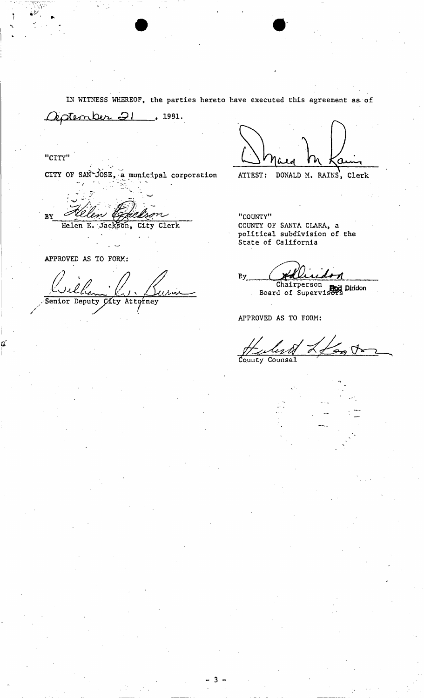**IN WITNESS WHEREOF, the parties hereto have executed this agreement as of** 

 $\ell$ ptenber  $\vartheta$ l, 1981.

**"CITY"** 

CITY OF SAN<sup>+</sup>JOSE, a municipal corporation

سەم BY **Helen E. Jackson, City Clerk** 

**APPROVED AS TO FORM:** 

 $S$ enior Deputy  $G$ ity Attorney

ATTEST: DONALD M. RAINS, Clerk

**"COUNTY" COUNTY OF SANTA CLARA, a political subdivision of the State of California** 

By. **Chairperson** 

**Board of Supervisers Hod Diridon**<br>Board of Supervisers

**APPROVED AS TO FORM:** 

 $\leqslant$  $\cancel{\sim}$ **dounty Counsel** 



- 3 -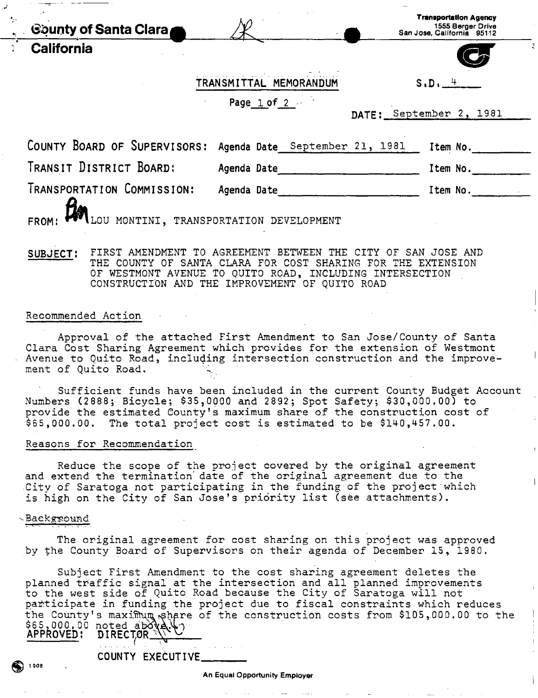| <b>Gounty of Santa Clara</b>                                | W                      | <b>Transportation Agency</b><br>1555 Berger Drive<br>San Jose, California 95112 |
|-------------------------------------------------------------|------------------------|---------------------------------------------------------------------------------|
| California                                                  |                        |                                                                                 |
|                                                             | TRANSMITTAL MEMORANDUM | $S, D, \underline{+}$                                                           |
|                                                             | Page $1$ of $2$        | DATE: September 2, 1981                                                         |
| COUNTY BOARD OF SUPERVISORS: Agenda Date September 21, 1981 |                        | Item No.                                                                        |

**TRANSIT DISTRICT BOARD: Agenda Date item No.** 

**TRANSPORTATION COMMISSION: Agenda Date item No,** 

**FROM:**  $\mathbf{B}$  LOU MONTINI, TRANSPORTATION DEVELOPMENT

SUBJECT: FIRST AMENDMENT TO AGREEMENT BETWEEN THE CITY OF SAN JOSE AND THE COUNTY OF SANTA CLARA FOR COST SHARING FOR THE EXTENSION OF WESTMONT AVENUE TO QUITO ROAD, INCLUDING INTERSECTION CONSTRUCTION AND THE IMPROVEMENT OF QUITO ROAD

#### Recommended Action

Approval of the attached First Amendment to San Jose/County of Santa Clara Cost Sharing Agreement which provides for the extension of Westmont Avenue to Quito Road, including intersection construction and the improvement of Quito Road.

Sufficient funds have been included in the current County Budget Account Numbers (2888; Bicycle; \$35,0000 and 2892; Spot Safety; \$30,000.00) to provide the estimated County's maximum share of the construction cost of \$65,000.00. The total project cost is estimated to be \$140,457.00.

### Reasons for Recommendation

Reduce the scope of the project covered by the original agreement and extend the termination' date of the original agreement due to the City of Saratoga not participating in the funding of the project'which is high on the City of San Jose's priority list (see attachments).

#### Background

The original agreement for cost sharing on this project was approved by the County Board of Supervisors on their agenda of December 15 , 1980.

Subject First Amendment to the cost sharing agreement deletes the planned traffic signal at the intersection and all planned improvements to the west side of Quito Road because the City of Saratoga will not participate in funding the project due to fiscal constraints which reduces the County's maximum share of the construction costs from \$105,000.00 to the \$65,000.00 noted above. **APPROVED; DIRECTOR** 

COUNTY EXECUTIVE

 $\bigcirc$  1908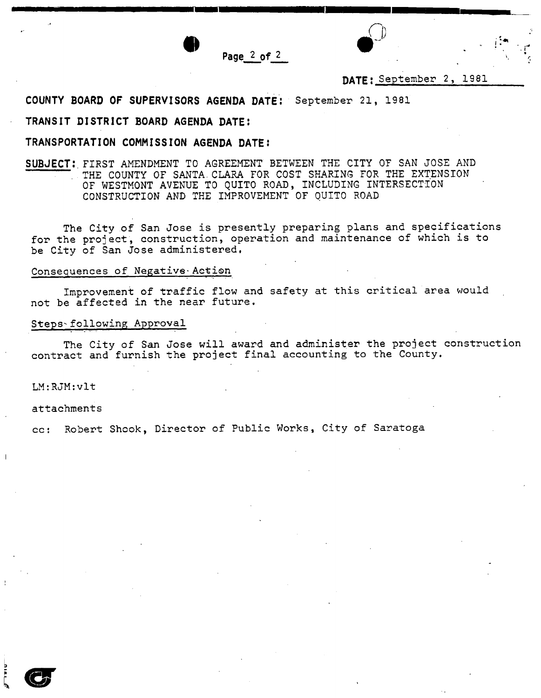

**Page 2 of** 2

# DATE: September 2, 1981

**COUNTY BOARD OF SUPERVISORS AGENDA DATE!** September 21, 1981

## **TRANSIT DISTRICT BOARD AGENDA DATE:**

## **TRANSPORTATION COMMISSION AGENDA DATEi**

**SUBJECT:** FIRST AMENDMENT TO AGREEMENT BETWEEN THE CITY OF SAN JOSE AND THE COUNTY OF SANTA CLARA FOR COST SHARING FOR THE EXTENSION OF WESTMONT AVENUE TO QUITO ROAD, INCLUDING INTERSECTION CONSTRUCTION AND THE IMPROVEMENT OF QUITO ROAD

The City of San Jose is presently preparing plans and specifications for the project, construction, operation and maintenance of which is to be City of San Jose administered,

### Consequences of Negative-Aetion

Improvement of traffic flow and safety at this critical area would not be affected in the near future.

### Steps-following Approval

The City of San Jose will award and administer the project construction contract and furnish the project final accounting to the County,

### LM:RJM:vlt

attachments

cc: Robert Shook, Director of Public Works, City of Saratoga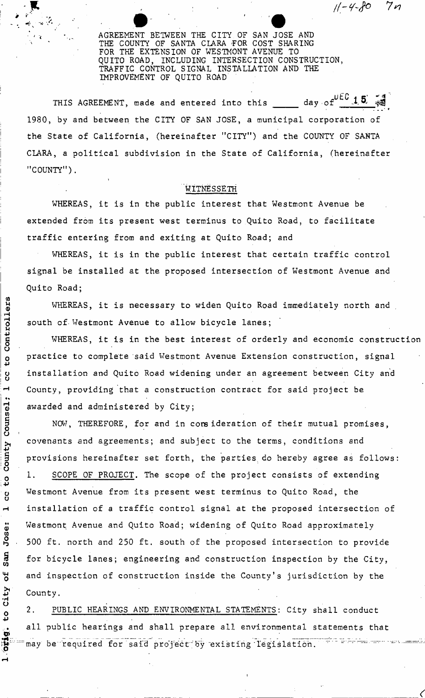• \* *//-Y-fo*  7п

AGREEMENT BETWEEN THE CITY OF SAN JOSE AND THE COUNTY OF SANTA CLARA FOR COST SHARING FOR THE EXTENSION OF WESTMONT AVENUE TO QUITO ROAD, INCLUDING INTERSECTION CONSTRUCTION, TRAFFIC CONTROL SIGNAL INSTALLATION AND THE IMPROVEMENT OF QUITO ROAD

**uEC a k'**  THIS AGREEMENT, made and entered into this <u>ិ</u> 1980, by and between the CITY OF SAN JOSE, a municipal corporation of the State of California, (hereinafter "CITY") and the COUNTY OF SANTA CLARA, a political subdivision in the State of California, (hereinafter "COUNTY").

## WITNESSETH

WHEREAS, it is in the public interest that Westmont Avenue be extended from its present west terminus to Quito Road, to facilitate traffic entering from and exiting at Quito Road; and

WHEREAS, it is in the public interest that certain traffic control signal be installed at the proposed intersection of Westmont Avenue and Quito Road;

WHEREAS, it is necessary to widen Quito Road immediately north and south of Westmont Avenue to allow bicycle lanes;

WHEREAS, it is in the best interest of orderly and economic construction practice to complete said Westmont Avenue Extension construction, signal installation and Quito Road widening under an agreement between City and County, providing that a construction contract for said project be awarded and administered by City;

NOW, THEREFORE, for and in consideration of their mutual promises, covenants and agreements; and subject to the terms, conditions and provisions hereinafter set forth, the parties, do hereby agree as follows: 1. SCOPE OF PROJECT. The scope of the project consists of extending Westmont Avenue from its present west terminus to Quito Road, the installation of a traffic control signal at the proposed intersection of Westmont Avenue and Quito Road; widening of Quito Road approximately 500 ft. north and 250 ft. south of the proposed intersection to provide for bicycle lanes; engineering and construction inspection by the City, and inspection of construction inside the County's jurisdiction by the County.

2. PUBLIC HEARINGS AND ENVIRONMENTAL STATEMENTS: City shall conduct all public hearings and shall prepare all environmental statements that " may be required for said project by existing legislation. The same was set-

r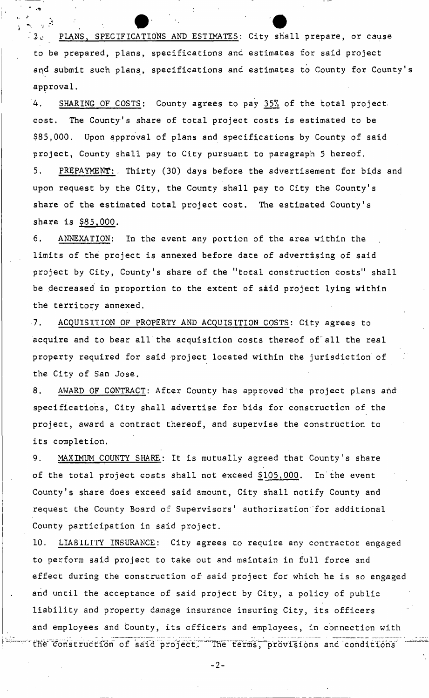PLANS, SPECIFICATIONS AND ESTIMATES: City shall prepare, or cause to be prepared, plans, specifications and estimates for said project and submit such plans, specifications and estimates to County for County' approval.

'4. SHARING OF COSTS: County agrees to pay 35% of the total projectcost. The County's share of total project costs is estimated to be \$85,000. Upon approval of plans and specifications by County of said project. County shall pay to City pursuant to paragraph 5 hereof. 5. PREPAYMENT: Thirty (30) days before the advertisement for bids and upon request by the City, the County shall pay to City the County's share of the estimated total project cost. The estimated County's share is \$85,000.

6. ANNEXATION: In the event any portion of the area within the limits of the project is annexed before date of advertising of said project by City, County's share of the "total construction costs" shall be decreased in proportion to the extent of said project lying within the territory annexed.

7. ACQUISITION OF PROPERTY AND ACQUISITION COSTS: City agrees to acquire and to bear all the acquisition costs thereof of"all the real property required for said project located within the jurisdiction of the City of San Jose.

8. AWARD OF CONTRACT: After County has approved the project plans and specifications, City shall advertise for bids for construction of the project, award a contract thereof, and supervise the construction to its completion.

9. MAXIMUM COUNTY SHARE: It is mutually agreed that County's share of the total project costs shall not exceed  $$105,000$ . In the event County's share does exceed said amount, City shall notify County and request the County Board of Supervisors' authorization for additional County participation in said project.

10. LIABILITY INSURANCE: City agrees to require any contractor engaged to perform said project to take out and maintain in full force and effect during the construction of said project for which he is so engaged and until the acceptance of said project by City, a policy of public liability and property damage insurance insuring City, its officers and employees and County, its officers and employees, in connection with the construction of said project. The terms, provisions and conditions"

 $-2-$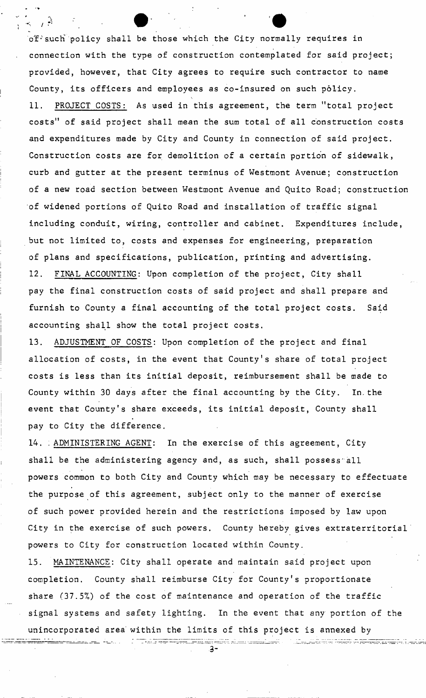of such policy shall be those which the City normally requires in connection with the type of construction contemplated for said project; provided, however, that City agrees to require such contractor to name County, its officers and employees as co-insured on such policy. 11. PROJECT COSTS: As used in this agreement, the term "total project costs" of said project shall mean the sum total of all construction costs and expenditures made by City and County in connection of said project. Construction costs are for demolition of a certain portion of sidewalk, curb and gutter at the present terminus of Westmont Avenue; construction of a new road section between Westmont Avenue and Quito Road; construction of widened portions of Quito Road and installation of traffic signal including conduit, wiring, controller and cabinet. Expenditures include, but not limited to, costs and expenses for engineering, preparation of plans and specifications, publication, printing and advertising. 12. FINAL ACCOUNTING: Upon completion of the project, City shall pay the final construction costs of said project and shall prepare and furnish to County a final accounting of the total project costs. Said accounting shall show the total project costs.

13. ADJUSTMENT OF COSTS: Upon completion of the project and final allocation of costs, in the event that County's share of total project costs is less than its initial deposit, reimbursement shall be made to County within 30 days after the final accounting by the City. In.the event that County's share exceeds, its initial deposit, County shall pay to City the difference.

14. : ADMINISTERING AGENT: In the exercise of this agreement, City shall be the administering agency and, as such, shall possess'all powers common to both City and County which may be necessary to effectuate the purpose of this agreement, subject only to the manner of exercise of such power provided herein and the restrictions imposed by law upon City in the exercise of such powers. County hereby gives extraterritorial powers to City for construction located within County.

15. MAINTENANCE: City shall operate and maintain said project upon completion. County shall reimburse City for County's proportionate share  $(37.5%)$  of the cost of maintenance and operation of the traffic signal systems and safety lighting. In the event that any portion of the unincorporated area' within the limits of this project is annexed by

stri Alberta<del>nistleri</del>k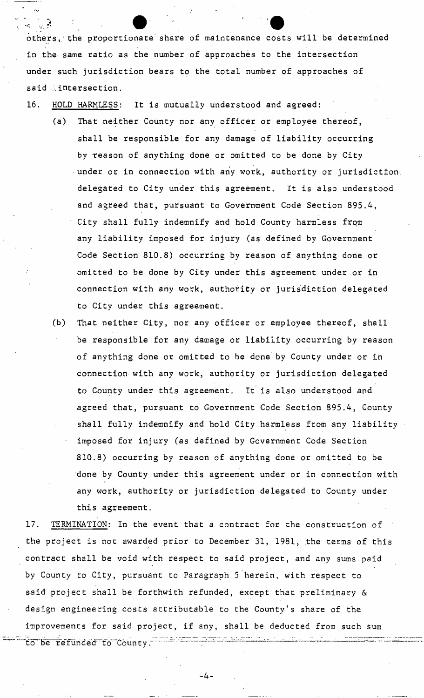others,; the proportionate share of maintenance costs will be determined in the same ratio as the number of approaches to the intersection under such jurisdiction bears to the total number of approaches of said .intersection.

16. HOLD HARMLESS: It is mutually understood and agreed:

- (a) That neither County nor any officer or employee thereof, shall be responsible for any damage of liability occurring by treason of anything done or omitted to be done by City •under or in connection with any work, authority or jurisdiction delegated to City under this agreement. It is also understood and agreed that, pursuant to Government Code Section 895.4, City shall fully indemnify and hold County harmless from any liability imposed for injury (as defined by Government Code Section 810.8) occurring by reason of anything done or omitted to be done by City under this agreement under or in connection with any work, authority or jurisdiction delegated to City under this agreement.
- (b) That neither City, nor any officer or employee thereof, shall be responsible for any damage or liability occurring by reason of anything done or omitted to be done by County under or in connection with any work, authority or jurisdiction delegated to County under this agreement. It is also understood and agreed that, pursuant to Government Code Section 895.4, County shall fully indemnify and hold City harmless from any liability imposed for injury (as defined by Government Code Section 810.8) occurring by reason of anything done or omitted to be done by County under this agreement under or in connection with any work, authority or jurisdiction delegated to County under this agreement,

17. TERMINATION: In the event that a contract for the construction of the project is not awarded prior to December 31, 1981, the terms of this contract shall be void with respect to said project, and any sums paid by County to City, pursuant to Paragraph 5 herein, with respect to said project shall be forthwith refunded, except that preliminary & design engineering costs attributable to the County's share of the improvements for said project, if any, shall be deducted from such sum to be refunded to County.

- 4 -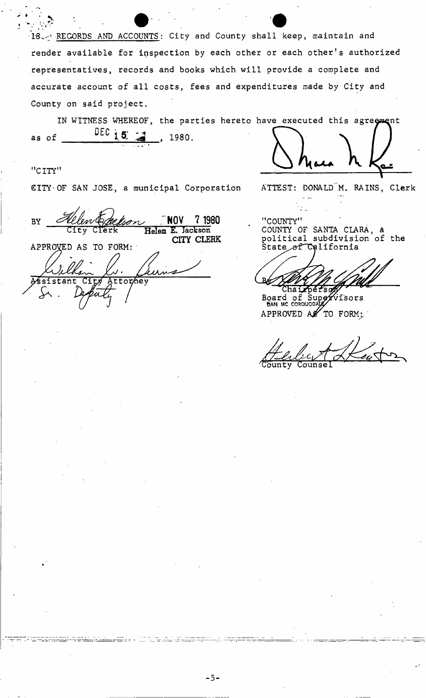18. RECORDS AND ACCOUNTS: City and County shall keep, maintain and render available for inspection by each other or each other's authorized representatives, records and books which will provide a complete and accurate account of all costs, fees and expenditures made by City and County on said project.

IN WITNESS WHEREOF, the parties hereto have executed this agreement DEC  $15$ as of 1980.

## "CITY"

CITY OF SAN JOSE, a municipal Corporation ATTEST: DONALD M. RAINS, Clerk

s an seas an meirice.

 $-5-$ 

NOV. 7 1980 **BY** Helen E. Jackson CITY CLERK APPROVED AS TO FORM:  $stat$ ttorhey

"COUNTY" COUNTY OF SANTA CLARA, a political subdivision of the

Board of Supervisors APPROVED AS  $^{\prime}$  TO FORM: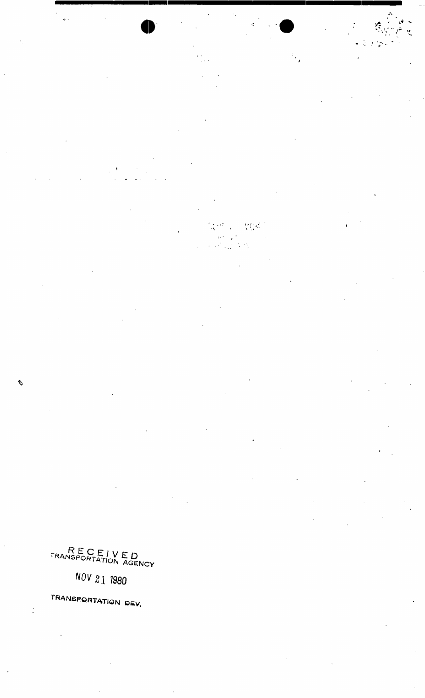RECEIVED TRANSPORTATION AGENCY

Þ

 $\mathbb{M}(\mathcal{B})$ 

 $\ddot{\phantom{0}}$ 

 $\mathcal{L}$  $\frac{1}{2}$ 

 $\overline{a}$ j.

**NOV 21 1980**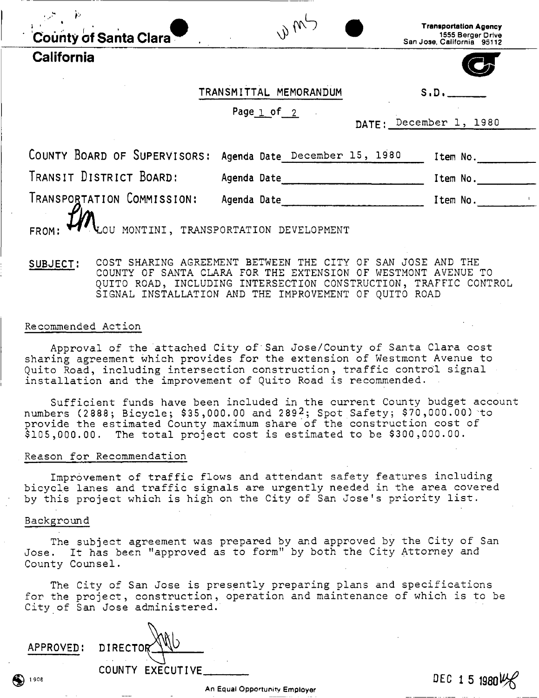| County of Santa Clara |  |
|-----------------------|--|

**California** 

| <b>Transportation Agency</b> |  |
|------------------------------|--|
| 1555 Berger Drive            |  |
| San Jose, California - 95112 |  |

**TRANSMITTAL MEMORANDUM S.D.** 

 $\frac{1}{2}$   $\frac{1}{2}$ 

Page 1 of 2

DATE: December 1, 1980

|                                                  | COUNTY BOARD OF SUPERVISORS: Agenda Date December 15, 1980 | Item No. |  |
|--------------------------------------------------|------------------------------------------------------------|----------|--|
| TRANSIT DISTRICT BOARD:                          | Agenda Date                                                | Item No. |  |
| TRANSPORTATION COMMISSION:                       | Agenda Date                                                | Item No. |  |
| FROM: UM LOU MONTINI, TRANSPORTATION DEVELOPMENT |                                                            |          |  |
|                                                  |                                                            |          |  |

## **SUBJECT:** COST SHARING AGREEMENT BETWEEN THE CITY OF SAN JOSE AND THE COUNTY OF SANTA CLARA FOR THE EXTENSION OF WESTMONT AVENUE TO QUITO ROAD, INCLUDING INTERSECTION CONSTRUCTION, TRAFFIC CONTROL SIGNAL INSTALLATION AND THE IMPROVEMENT OF QUITO ROAD

### Recommended Action

Approval of the attached City of'San Jose/County of Santa Clara cost sharing agreement which provides for the extension of Westmont Avenue to Quito Road, including intersection construction, traffic control signal installation and the improvement of Quito Road is recommended.

Sufficient funds have been included in the current County budget account numbers (2888; Bicycle; \$35,000.00 and 289<sup>2</sup>; Spot Safety; \$70,000.00) to provide the estimated County maximum share of the construction cost of \$105,000.00. The total project cost is estimated to be \$300,000.00.

### Reason for Recommendation

Improvement of traffic flows and attendant safety features including bicycle lanes and traffic signals are urgently needed in the area covered by this project which is high on the City of San Jose's priority list.

### Background

The subject agreement was prepared by and approved by the City of San Jose. It has been "approved as to form" by both the City Attorney and County Counsel.

The City of San Jose is presently preparing plans and specifications for the project, construction, operation and maintenance of which is to be City of San Jose administered.

**APPROVED! DIRECTO COUNTY EXECUTIVE.** 

**DEC 1 5 1980l^f** 

**S 19oe**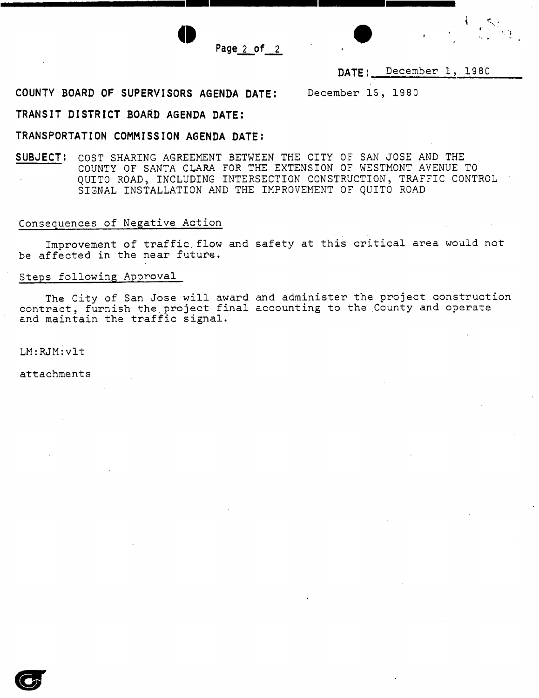



# DATE: December 1, 1980

**COUNTY BOARD OF SUPERVISORS AGENDA DATE:** December 15, 19 8 0

## **TRANSIT DISTRICT BOARD AGENDA DATE:**

## **TRANSPORTATION COMMISSION AGENDA DATE:**

**SUBJECT:** COST SHARING AGREEMENT BETWEEN THE CITY OF SAN JOSE AND THE COUNTY OF SANTA CLARA FOR THE EXTENSION OF WESTMONT AVENUE TO QUITO ROAD, INCLUDING INTERSECTION CONSTRUCTION, TRAFFIC CONTROL SIGNAL INSTALLATION AND THE IMPROVEMENT OF QUITO ROAD

## Consequences of Negative Action

Improvement of traffic.flow and safety at this critical area would not be affected in the near future.

## Steps following Approval

The City of San Jose will award and administer the project construction contract, furnish the.project final accounting to the County and operate and maintain the traffic signal.

LM:RJM:vlt

attachments

 $\mathbf{G}$